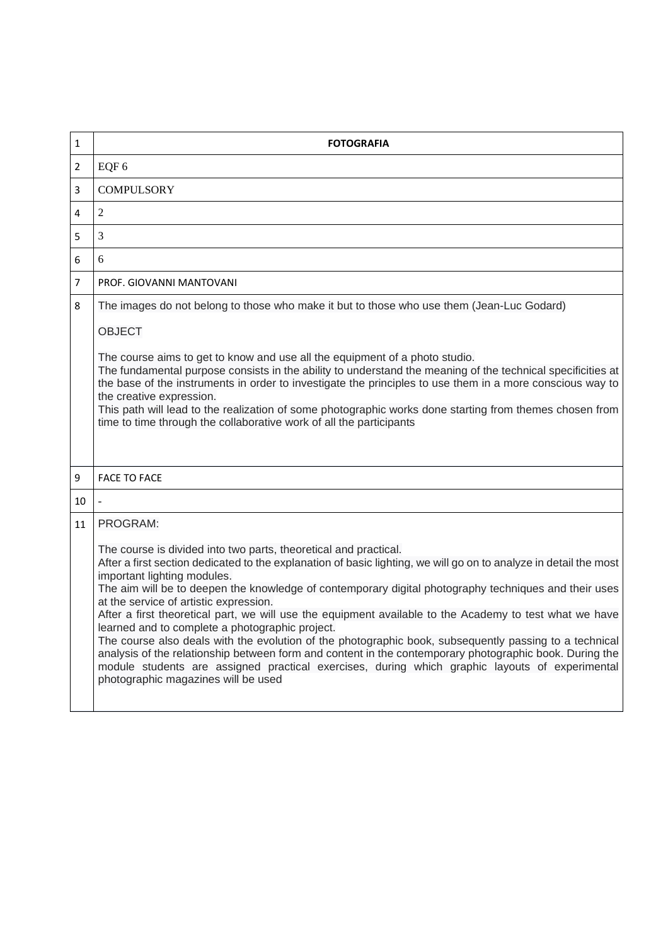| $\mathbf{1}$   | <b>FOTOGRAFIA</b>                                                                                                                                                                                                                                                                                                                                                                                                                                                                                                                                                                                                                                                                                                                                                                                                                                                                                               |
|----------------|-----------------------------------------------------------------------------------------------------------------------------------------------------------------------------------------------------------------------------------------------------------------------------------------------------------------------------------------------------------------------------------------------------------------------------------------------------------------------------------------------------------------------------------------------------------------------------------------------------------------------------------------------------------------------------------------------------------------------------------------------------------------------------------------------------------------------------------------------------------------------------------------------------------------|
| $\overline{2}$ | EQF 6                                                                                                                                                                                                                                                                                                                                                                                                                                                                                                                                                                                                                                                                                                                                                                                                                                                                                                           |
| 3              | <b>COMPULSORY</b>                                                                                                                                                                                                                                                                                                                                                                                                                                                                                                                                                                                                                                                                                                                                                                                                                                                                                               |
| 4              | $\overline{2}$                                                                                                                                                                                                                                                                                                                                                                                                                                                                                                                                                                                                                                                                                                                                                                                                                                                                                                  |
| 5              | $\overline{3}$                                                                                                                                                                                                                                                                                                                                                                                                                                                                                                                                                                                                                                                                                                                                                                                                                                                                                                  |
| 6              | 6                                                                                                                                                                                                                                                                                                                                                                                                                                                                                                                                                                                                                                                                                                                                                                                                                                                                                                               |
| $\overline{7}$ | PROF. GIOVANNI MANTOVANI                                                                                                                                                                                                                                                                                                                                                                                                                                                                                                                                                                                                                                                                                                                                                                                                                                                                                        |
| 8              | The images do not belong to those who make it but to those who use them (Jean-Luc Godard)<br><b>OBJECT</b><br>The course aims to get to know and use all the equipment of a photo studio.<br>The fundamental purpose consists in the ability to understand the meaning of the technical specificities at<br>the base of the instruments in order to investigate the principles to use them in a more conscious way to<br>the creative expression.<br>This path will lead to the realization of some photographic works done starting from themes chosen from<br>time to time through the collaborative work of all the participants                                                                                                                                                                                                                                                                             |
| 9              | <b>FACE TO FACE</b>                                                                                                                                                                                                                                                                                                                                                                                                                                                                                                                                                                                                                                                                                                                                                                                                                                                                                             |
| 10             |                                                                                                                                                                                                                                                                                                                                                                                                                                                                                                                                                                                                                                                                                                                                                                                                                                                                                                                 |
| 11             | PROGRAM:<br>The course is divided into two parts, theoretical and practical.<br>After a first section dedicated to the explanation of basic lighting, we will go on to analyze in detail the most<br>important lighting modules.<br>The aim will be to deepen the knowledge of contemporary digital photography techniques and their uses<br>at the service of artistic expression.<br>After a first theoretical part, we will use the equipment available to the Academy to test what we have<br>learned and to complete a photographic project.<br>The course also deals with the evolution of the photographic book, subsequently passing to a technical<br>analysis of the relationship between form and content in the contemporary photographic book. During the<br>module students are assigned practical exercises, during which graphic layouts of experimental<br>photographic magazines will be used |